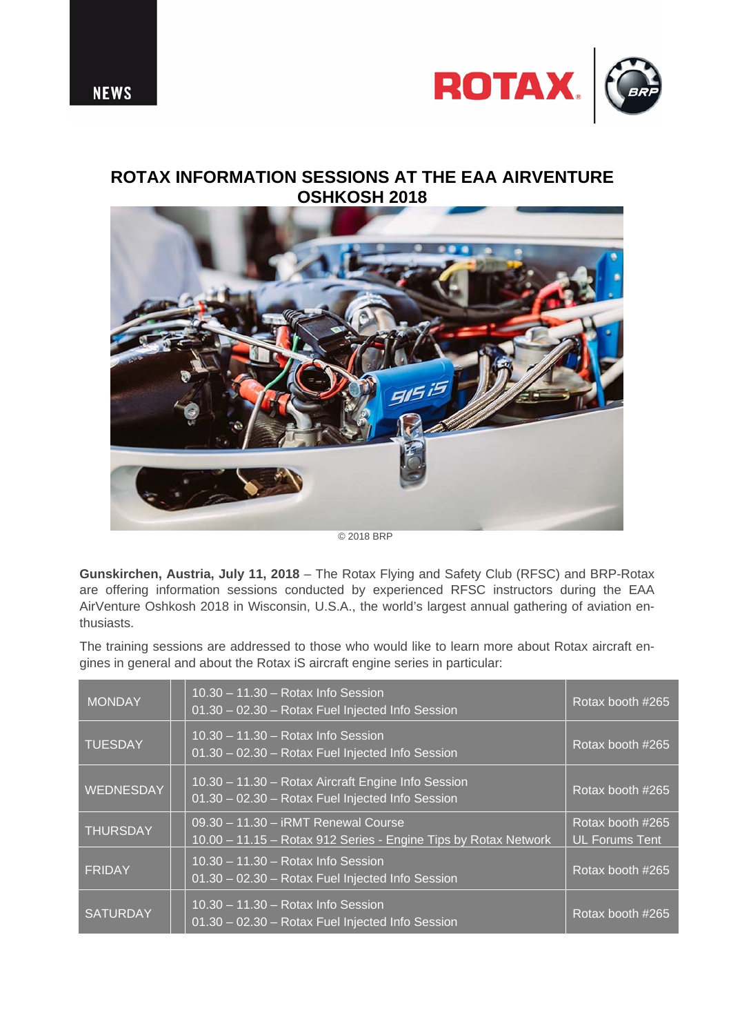



## **ROTAX INFORMATION SESSIONS AT THE EAA AIRVENTURE OSHKOSH 2018**



© 2018 BRP

**Gunskirchen, Austria, July 11, 2018** – The Rotax Flying and Safety Club (RFSC) and BRP-Rotax are offering information sessions conducted by experienced RFSC instructors during the EAA AirVenture Oshkosh 2018 in Wisconsin, U.S.A., the world's largest annual gathering of aviation enthusiasts.

The training sessions are addressed to those who would like to learn more about Rotax aircraft engines in general and about the Rotax iS aircraft engine series in particular:

| <b>MONDAY</b>    | $10.30 - 11.30 - Rotax$ Info Session<br>01.30 - 02.30 - Rotax Fuel Injected Info Session               | Rotax booth #265                          |
|------------------|--------------------------------------------------------------------------------------------------------|-------------------------------------------|
| <b>TUESDAY</b>   | $10.30 - 11.30 - Rotax$ Info Session<br>01.30 - 02.30 - Rotax Fuel Injected Info Session               | Rotax booth #265                          |
| <b>WEDNESDAY</b> | 10.30 - 11.30 - Rotax Aircraft Engine Info Session<br>01.30 - 02.30 - Rotax Fuel Injected Info Session | Rotax booth #265                          |
| <b>THURSDAY</b>  | 09.30 - 11.30 - iRMT Renewal Course<br>10.00 - 11.15 - Rotax 912 Series - Engine Tips by Rotax Network | Rotax booth #265<br><b>UL Forums Tent</b> |
| <b>FRIDAY</b>    | $10.30 - 11.30 - Rotax$ Info Session<br>01.30 - 02.30 - Rotax Fuel Injected Info Session               | Rotax booth #265                          |
| <b>SATURDAY</b>  | $10.30 - 11.30 - Rotax$ Info Session<br>01.30 - 02.30 - Rotax Fuel Injected Info Session               | Rotax booth #265                          |